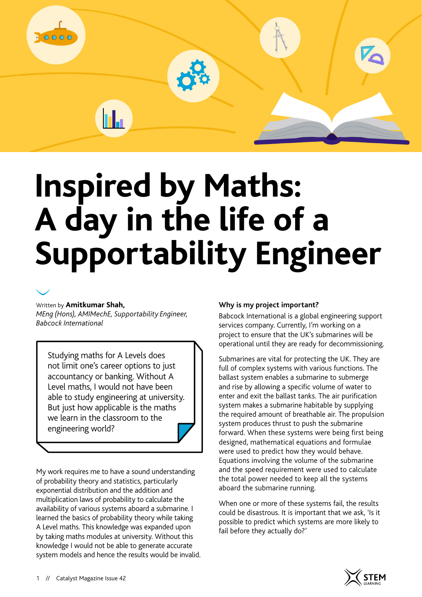

# **Inspired by Maths: A day in the life of a Supportability Engineer**

#### Written by **Amitkumar Shah,**

*MEng (Hons), AMIMechE, Supportability Engineer, Babcock International*

hL.

Studying maths for A Levels does not limit one's career options to just accountancy or banking. Without A Level maths, I would not have been able to study engineering at university. But just how applicable is the maths we learn in the classroom to the engineering world?

My work requires me to have a sound understanding of probability theory and statistics, particularly exponential distribution and the addition and multiplication laws of probability to calculate the availability of various systems aboard a submarine. I learned the basics of probability theory while taking A Level maths. This knowledge was expanded upon by taking maths modules at university. Without this knowledge I would not be able to generate accurate system models and hence the results would be invalid.

#### **Why is my project important?**

Babcock International is a global engineering support services company. Currently, I'm working on a project to ensure that the UK's submarines will be operational until they are ready for decommissioning.

Submarines are vital for protecting the UK. They are full of complex systems with various functions. The ballast system enables a submarine to submerge and rise by allowing a specific volume of water to enter and exit the ballast tanks. The air purification system makes a submarine habitable by supplying the required amount of breathable air. The propulsion system produces thrust to push the submarine forward. When these systems were being first being designed, mathematical equations and formulae were used to predict how they would behave. Equations involving the volume of the submarine and the speed requirement were used to calculate the total power needed to keep all the systems aboard the submarine running.

When one or more of these systems fail, the results could be disastrous. It is important that we ask, 'Is it possible to predict which systems are more likely to fail before they actually do?'

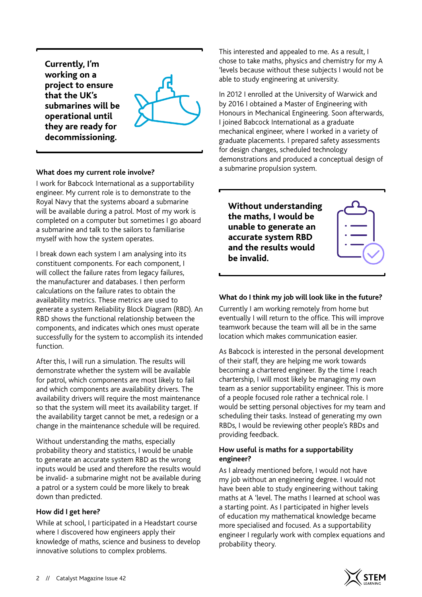**Currently, I'm working on a project to ensure that the UK's submarines will be operational until they are ready for decommissioning.**

#### **What does my current role involve?**

I work for Babcock International as a supportability engineer. My current role is to demonstrate to the Royal Navy that the systems aboard a submarine will be available during a patrol. Most of my work is completed on a computer but sometimes I go aboard a submarine and talk to the sailors to familiarise myself with how the system operates.

I break down each system I am analysing into its constituent components. For each component, I will collect the failure rates from legacy failures, the manufacturer and databases. I then perform calculations on the failure rates to obtain the availability metrics. These metrics are used to generate a system Reliability Block Diagram (RBD). An RBD shows the functional relationship between the components, and indicates which ones must operate successfully for the system to accomplish its intended function.

After this, I will run a simulation. The results will demonstrate whether the system will be available for patrol, which components are most likely to fail and which components are availability drivers. The availability drivers will require the most maintenance so that the system will meet its availability target. If the availability target cannot be met, a redesign or a change in the maintenance schedule will be required.

Without understanding the maths, especially probability theory and statistics, I would be unable to generate an accurate system RBD as the wrong inputs would be used and therefore the results would be invalid- a submarine might not be available during a patrol or a system could be more likely to break down than predicted.

#### **How did I get here?**

While at school, I participated in a Headstart course where I discovered how engineers apply their knowledge of maths, science and business to develop innovative solutions to complex problems.

This interested and appealed to me. As a result, I chose to take maths, physics and chemistry for my A 'levels because without these subjects I would not be able to study engineering at university.

In 2012 I enrolled at the University of Warwick and by 2016 I obtained a Master of Engineering with Honours in Mechanical Engineering. Soon afterwards, I joined Babcock International as a graduate mechanical engineer, where I worked in a variety of graduate placements. I prepared safety assessments for design changes, scheduled technology demonstrations and produced a conceptual design of a submarine propulsion system.

**Without understanding the maths, I would be unable to generate an accurate system RBD and the results would be invalid.**



Currently I am working remotely from home but eventually I will return to the office. This will improve teamwork because the team will all be in the same location which makes communication easier.

As Babcock is interested in the personal development of their staff, they are helping me work towards becoming a chartered engineer. By the time I reach chartership, I will most likely be managing my own team as a senior supportability engineer. This is more of a people focused role rather a technical role. I would be setting personal objectives for my team and scheduling their tasks. Instead of generating my own RBDs, I would be reviewing other people's RBDs and providing feedback.

#### **How useful is maths for a supportability engineer?**

As I already mentioned before, I would not have my job without an engineering degree. I would not have been able to study engineering without taking maths at A 'level. The maths I learned at school was a starting point. As I participated in higher levels of education my mathematical knowledge became more specialised and focused. As a supportability engineer I regularly work with complex equations and probability theory.